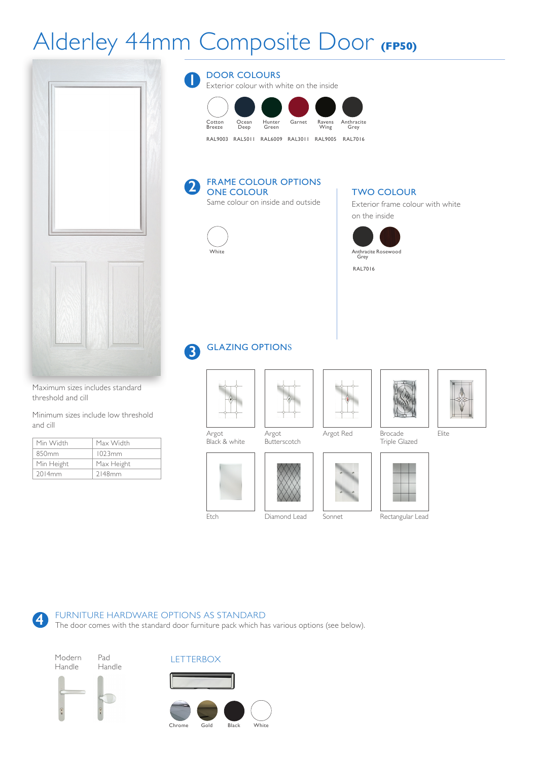## Alderley 44mm Composite Door **(FP50)**



Maximum sizes includes standard threshold and cill

Minimum sizes include low threshold and cill

| Min Width         | Max Width  |
|-------------------|------------|
| 850 <sub>mm</sub> | 1023mm     |
| Min Height        | Max Height |
| 2014mm            | 2148mm     |

**4**

DOOR COLOURS **1**

Exterior colour with white on the inside



#### FRAME COLOUR OPTIONS ONE COLOUR **2**

Same colour on inside and outside



### TWO COLOUR

Exterior frame colour with white on the inside



#### GLAZING OPTIONS **3**







Triple Glazed



Elite



Rectangular Lead

Argot Black & white



Etch

Diamond Lead Sonnet

FURNITURE HARDWARE OPTIONS AS STANDARD

The door comes with the standard door furniture pack which has various options (see below).